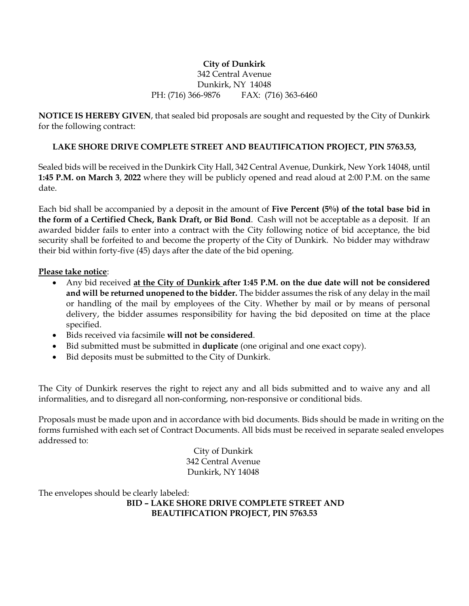## **City of Dunkirk** 342 Central Avenue Dunkirk, NY 14048 PH: (716) 366-9876 FAX: (716) 363-6460

**NOTICE IS HEREBY GIVEN**, that sealed bid proposals are sought and requested by the City of Dunkirk for the following contract:

## **LAKE SHORE DRIVE COMPLETE STREET AND BEAUTIFICATION PROJECT, PIN 5763.53,**

Sealed bids will be received in the Dunkirk City Hall, 342 Central Avenue, Dunkirk, New York 14048, until **1:45 P.M. on March 3**, **2022** where they will be publicly opened and read aloud at 2:00 P.M. on the same date.

Each bid shall be accompanied by a deposit in the amount of **Five Percent (5%) of the total base bid in the form of a Certified Check, Bank Draft, or Bid Bond**. Cash will not be acceptable as a deposit. If an awarded bidder fails to enter into a contract with the City following notice of bid acceptance, the bid security shall be forfeited to and become the property of the City of Dunkirk. No bidder may withdraw their bid within forty-five (45) days after the date of the bid opening.

**Please take notice**:

- Any bid received **at the City of Dunkirk after 1:45 P.M. on the due date will not be considered and will be returned unopened to the bidder.** The bidder assumes the risk of any delay in the mail or handling of the mail by employees of the City. Whether by mail or by means of personal delivery, the bidder assumes responsibility for having the bid deposited on time at the place specified.
- Bids received via facsimile **will not be considered**.
- Bid submitted must be submitted in **duplicate** (one original and one exact copy).
- Bid deposits must be submitted to the City of Dunkirk.

The City of Dunkirk reserves the right to reject any and all bids submitted and to waive any and all informalities, and to disregard all non-conforming, non-responsive or conditional bids.

Proposals must be made upon and in accordance with bid documents. Bids should be made in writing on the forms furnished with each set of Contract Documents. All bids must be received in separate sealed envelopes addressed to:

> City of Dunkirk 342 Central Avenue Dunkirk, NY 14048

The envelopes should be clearly labeled:

**BID – LAKE SHORE DRIVE COMPLETE STREET AND BEAUTIFICATION PROJECT, PIN 5763.53**